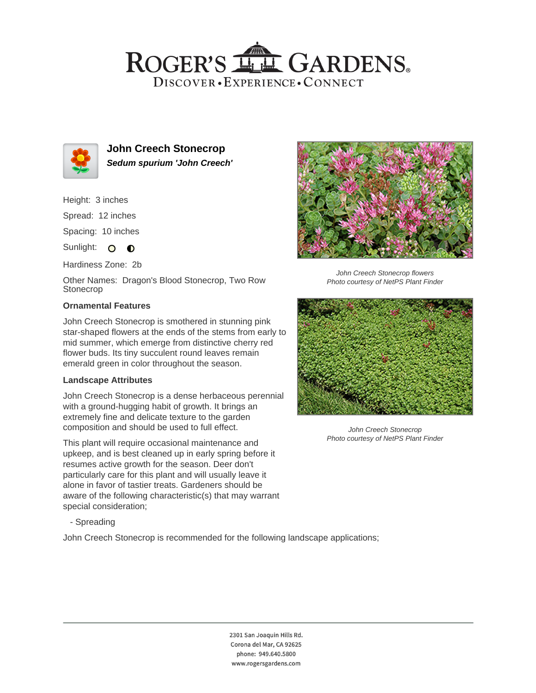## ROGER'S LL GARDENS. DISCOVER · EXPERIENCE · CONNECT



**John Creech Stonecrop Sedum spurium 'John Creech'**

Height: 3 inches

Spread: 12 inches

Spacing: 10 inches

Sunlight: O O

Hardiness Zone: 2b

Other Names: Dragon's Blood Stonecrop, Two Row Stonecrop

### **Ornamental Features**

John Creech Stonecrop is smothered in stunning pink star-shaped flowers at the ends of the stems from early to mid summer, which emerge from distinctive cherry red flower buds. Its tiny succulent round leaves remain emerald green in color throughout the season.

### **Landscape Attributes**

John Creech Stonecrop is a dense herbaceous perennial with a ground-hugging habit of growth. It brings an extremely fine and delicate texture to the garden composition and should be used to full effect.

This plant will require occasional maintenance and upkeep, and is best cleaned up in early spring before it resumes active growth for the season. Deer don't particularly care for this plant and will usually leave it alone in favor of tastier treats. Gardeners should be aware of the following characteristic(s) that may warrant special consideration;



John Creech Stonecrop flowers Photo courtesy of NetPS Plant Finder



John Creech Stonecrop Photo courtesy of NetPS Plant Finder

- Spreading

John Creech Stonecrop is recommended for the following landscape applications;

2301 San Joaquin Hills Rd. Corona del Mar, CA 92625 phone: 949.640.5800 www.rogersgardens.com